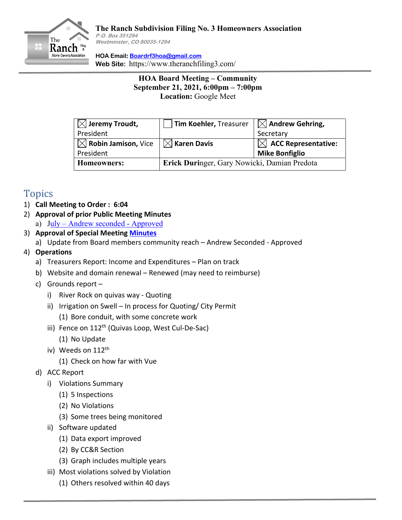

## **The Ranch Subdivision Filing No. 3 Homeowners Association P.O. Box 351294 Westminster, CO 80035-1294**

**HOA Email: Boardrf3hoa@gmail.com Web Site:** https://www.theranchfiling3.com/

> **HOA Board Meeting – Community September 21, 2021, 6:00pm – 7:00pm Location:** Google Meet

| $\boxtimes$ Jeremy Troudt,                                                    | Tim Koehler, Treasurer                       | $\boxtimes$ Andrew Gehring,     |
|-------------------------------------------------------------------------------|----------------------------------------------|---------------------------------|
| President                                                                     |                                              | Secretary                       |
| $\mathbb{R} \boxtimes$ Robin Jamison, Vice $\mathbb{R} \boxtimes$ Karen Davis |                                              | $\boxtimes$ ACC Representative: |
| President                                                                     |                                              | <b>Mike Bonfiglio</b>           |
| Homeowners:                                                                   | Erick Duringer, Gary Nowicki, Damian Predota |                                 |

## Topics

- 1) **Call Meeting to Order : 6:04**
- 2) **Approval of prior Public Meeting Minutes**
	- a) July Andrew seconded Approved
- 3) **Approval of Special Meeting Minutes**
	- a) Update from Board members community reach Andrew Seconded Approved
- 4) **Operations**
	- a) Treasurers Report: Income and Expenditures Plan on track
	- b) Website and domain renewal Renewed (may need to reimburse)
	- c) Grounds report
		- i) River Rock on quivas way Quoting
		- ii) Irrigation on Swell In process for Quoting/ City Permit
			- (1) Bore conduit, with some concrete work
		- iii) Fence on 112<sup>th</sup> (Quivas Loop, West Cul-De-Sac)
			- (1) No Update
		- iv) Weeds on 112<sup>th</sup>
			- (1) Check on how far with Vue
	- d) ACC Report
		- i) Violations Summary
			- (1) 5 Inspections
			- (2) No Violations
			- (3) Some trees being monitored
		- ii) Software updated
			- (1) Data export improved
			- (2) By CC&R Section
			- (3) Graph includes multiple years
		- iii) Most violations solved by Violation
			- (1) Others resolved within 40 days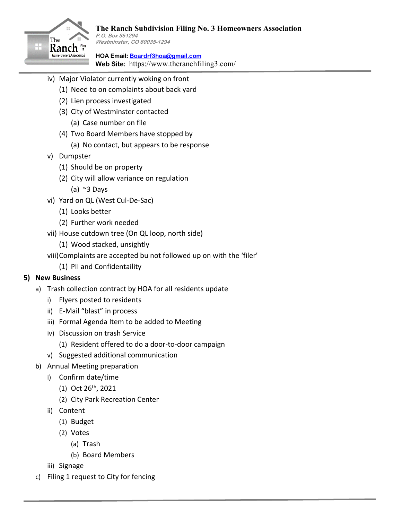

**HOA Email: Boardrf3hoa@gmail.com Web Site:** https://www.theranchfiling3.com/

- iv) Major Violator currently woking on front
	- (1) Need to on complaints about back yard
	- (2) Lien process investigated
	- (3) City of Westminster contacted
		- (a) Case number on file
	- (4) Two Board Members have stopped by
		- (a) No contact, but appears to be response
- v) Dumpster
	- (1) Should be on property
	- (2) City will allow variance on regulation
		- (a)  $\approx$ 3 Days
- vi) Yard on QL (West Cul-De-Sac)
	- (1) Looks better
	- (2) Further work needed
- vii) House cutdown tree (On QL loop, north side)
	- (1) Wood stacked, unsightly
- viii)Complaints are accepted bu not followed up on with the 'filer'
	- (1) PII and Confidentaility

## **5) New Business**

- a) Trash collection contract by HOA for all residents update
	- i) Flyers posted to residents
	- ii) E-Mail "blast" in process
	- iii) Formal Agenda Item to be added to Meeting
	- iv) Discussion on trash Service
		- (1) Resident offered to do a door-to-door campaign
	- v) Suggested additional communication
- b) Annual Meeting preparation
	- i) Confirm date/time
		- $(1)$  Oct 26<sup>th</sup>, 2021
		- (2) City Park Recreation Center
	- ii) Content
		- (1) Budget
		- (2) Votes
			- (a) Trash
			- (b) Board Members
	- iii) Signage
- c) Filing 1 request to City for fencing